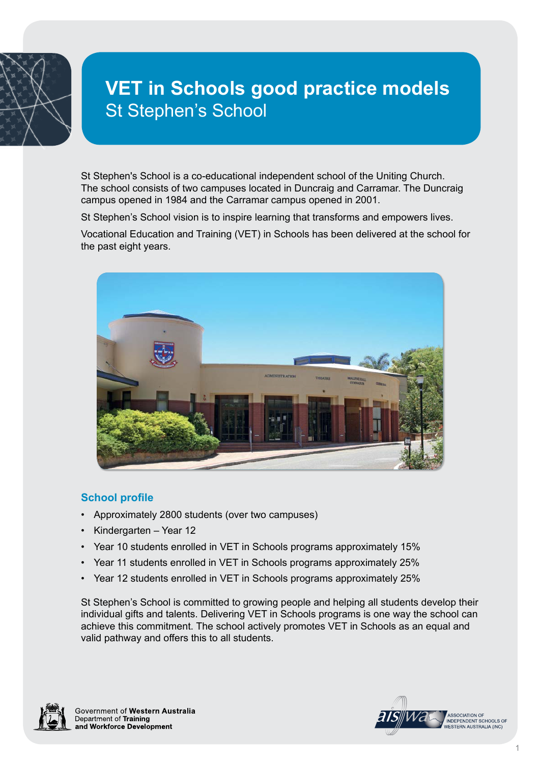

# **VET in Schools good practice models** St Stephen's School

St Stephen's School is a co-educational independent school of the Uniting Church. The school consists of two campuses located in Duncraig and Carramar. The Duncraig campus opened in 1984 and the Carramar campus opened in 2001.

St Stephen's School vision is to inspire learning that transforms and empowers lives.

Vocational Education and Training (VET) in Schools has been delivered at the school for the past eight years.



## **School profile**

- Approximately 2800 students (over two campuses)
- Kindergarten Year 12
- Year 10 students enrolled in VET in Schools programs approximately 15%
- Year 11 students enrolled in VET in Schools programs approximately 25%
- Year 12 students enrolled in VET in Schools programs approximately 25%

St Stephen's School is committed to growing people and helping all students develop their individual gifts and talents. Delivering VET in Schools programs is one way the school can achieve this commitment. The school actively promotes VET in Schools as an equal and valid pathway and offers this to all students.



Government of Western Australia Department of Training and Workforce Development

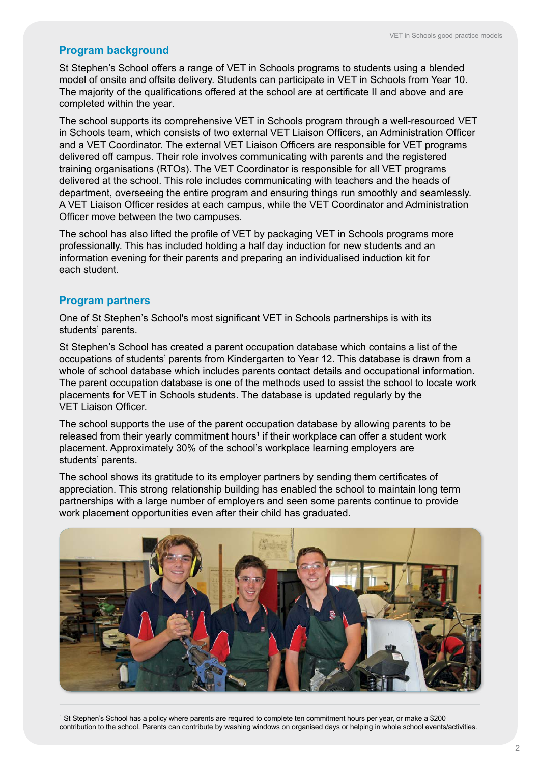# **Program background**

St Stephen's School offers a range of VET in Schools programs to students using a blended model of onsite and offsite delivery. Students can participate in VET in Schools from Year 10. The majority of the qualifications offered at the school are at certificate II and above and are completed within the year.

The school supports its comprehensive VET in Schools program through a well-resourced VET in Schools team, which consists of two external VET Liaison Officers, an Administration Officer and a VET Coordinator. The external VET Liaison Officers are responsible for VET programs delivered off campus. Their role involves communicating with parents and the registered training organisations (RTOs). The VET Coordinator is responsible for all VET programs delivered at the school. This role includes communicating with teachers and the heads of department, overseeing the entire program and ensuring things run smoothly and seamlessly. A VET Liaison Officer resides at each campus, while the VET Coordinator and Administration Officer move between the two campuses.

The school has also lifted the profile of VET by packaging VET in Schools programs more professionally. This has included holding a half day induction for new students and an information evening for their parents and preparing an individualised induction kit for each student.

#### **Program partners**

One of St Stephen's School's most significant VET in Schools partnerships is with its students' parents.

St Stephen's School has created a parent occupation database which contains a list of the occupations of students' parents from Kindergarten to Year 12. This database is drawn from a whole of school database which includes parents contact details and occupational information. The parent occupation database is one of the methods used to assist the school to locate work placements for VET in Schools students. The database is updated regularly by the VET Liaison Officer.

The school supports the use of the parent occupation database by allowing parents to be released from their yearly commitment hours<sup>1</sup> if their workplace can offer a student work placement. Approximately 30% of the school's workplace learning employers are students' parents.

The school shows its gratitude to its employer partners by sending them certificates of appreciation. This strong relationship building has enabled the school to maintain long term partnerships with a large number of employers and seen some parents continue to provide work placement opportunities even after their child has graduated.



1 St Stephen's School has a policy where parents are required to complete ten commitment hours per year, or make a \$200 contribution to the school. Parents can contribute by washing windows on organised days or helping in whole school events/activities.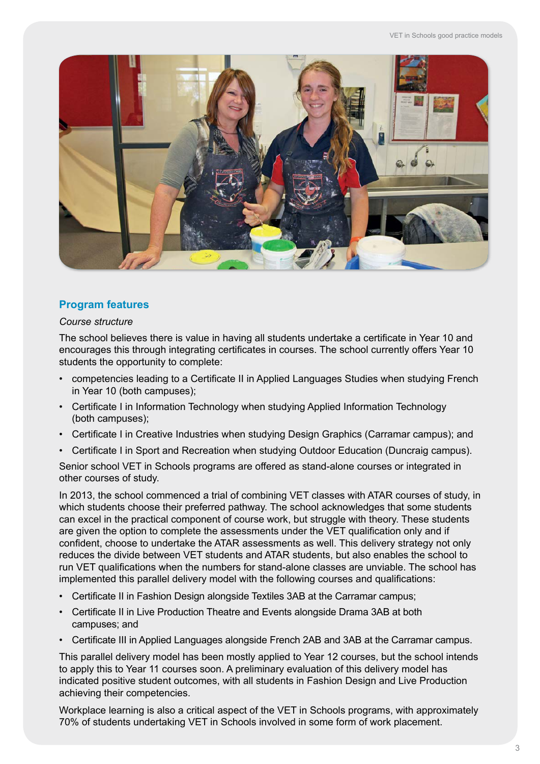

# **Program features**

#### *Course structure*

The school believes there is value in having all students undertake a certificate in Year 10 and encourages this through integrating certificates in courses. The school currently offers Year 10 students the opportunity to complete:

- competencies leading to a Certificate II in Applied Languages Studies when studying French in Year 10 (both campuses);
- Certificate I in Information Technology when studying Applied Information Technology (both campuses);
- Certificate I in Creative Industries when studying Design Graphics (Carramar campus); and
- Certificate I in Sport and Recreation when studying Outdoor Education (Duncraig campus).

Senior school VET in Schools programs are offered as stand-alone courses or integrated in other courses of study.

In 2013, the school commenced a trial of combining VET classes with ATAR courses of study, in which students choose their preferred pathway. The school acknowledges that some students can excel in the practical component of course work, but struggle with theory. These students are given the option to complete the assessments under the VET qualification only and if confident, choose to undertake the ATAR assessments as well. This delivery strategy not only reduces the divide between VET students and ATAR students, but also enables the school to run VET qualifications when the numbers for stand-alone classes are unviable. The school has implemented this parallel delivery model with the following courses and qualifications:

- Certificate II in Fashion Design alongside Textiles 3AB at the Carramar campus;
- Certificate II in Live Production Theatre and Events alongside Drama 3AB at both campuses; and
- Certificate III in Applied Languages alongside French 2AB and 3AB at the Carramar campus.

This parallel delivery model has been mostly applied to Year 12 courses, but the school intends to apply this to Year 11 courses soon. A preliminary evaluation of this delivery model has indicated positive student outcomes, with all students in Fashion Design and Live Production achieving their competencies.

Workplace learning is also a critical aspect of the VET in Schools programs, with approximately 70% of students undertaking VET in Schools involved in some form of work placement.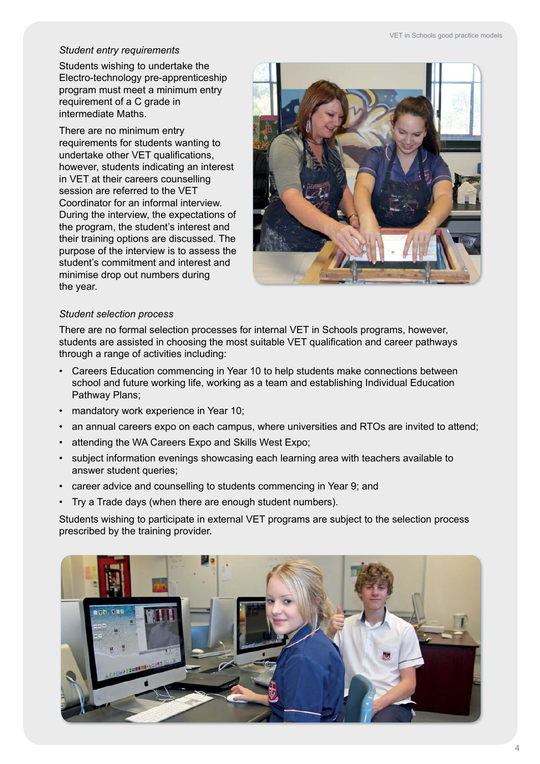#### *Student entry requirements*

Students wishing to undertake the Electro-technology pre-apprenticeship program must meet a minimum entry requirement of a C grade in intermediate Maths.

There are no minimum entry requirements for students wanting to undertake other VET qualifications, however, students indicating an interest in VET at their careers counselling session are referred to the VET Coordinator for an informal interview. During the interview, the expectations of the program, the student's interest and their training options are discussed. The purpose of the interview is to assess the student's commitment and interest and minimise drop out numbers during the year.



## *Student selection process*

There are no formal selection processes for internal VET in Schools programs, however, students are assisted in choosing the most suitable VET qualification and career pathways through a range of activities including:

- Careers Education commencing in Year 10 to help students make connections between school and future working life, working as a team and establishing Individual Education Pathway Plans;
- mandatory work experience in Year 10;
- an annual careers expo on each campus, where universities and RTOs are invited to attend;
- attending the WA Careers Expo and Skills West Expo;
- subject information evenings showcasing each learning area with teachers available to answer student queries;
- career advice and counselling to students commencing in Year 9; and
- Try a Trade days (when there are enough student numbers).

Students wishing to participate in external VET programs are subject to the selection process prescribed by the training provider.

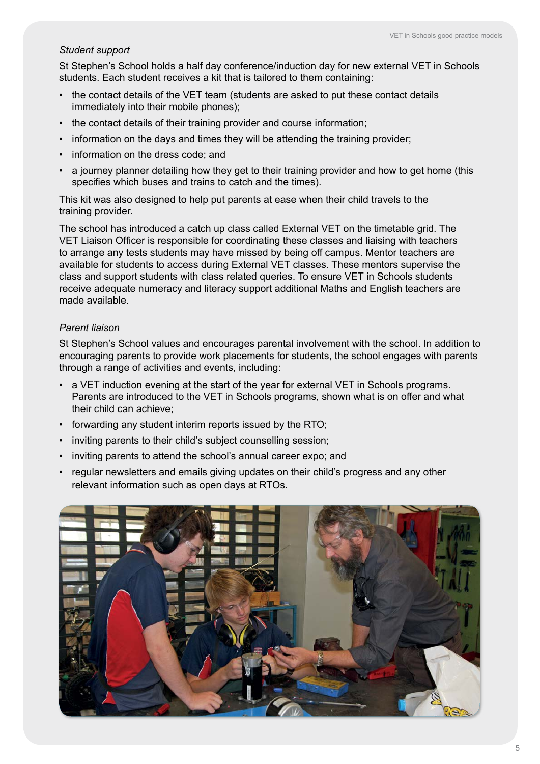#### *Student support*

St Stephen's School holds a half day conference/induction day for new external VET in Schools students. Each student receives a kit that is tailored to them containing:

- the contact details of the VET team (students are asked to put these contact details immediately into their mobile phones);
- the contact details of their training provider and course information;
- information on the days and times they will be attending the training provider;
- information on the dress code; and
- a journey planner detailing how they get to their training provider and how to get home (this specifies which buses and trains to catch and the times).

This kit was also designed to help put parents at ease when their child travels to the training provider.

The school has introduced a catch up class called External VET on the timetable grid. The VET Liaison Officer is responsible for coordinating these classes and liaising with teachers to arrange any tests students may have missed by being off campus. Mentor teachers are available for students to access during External VET classes. These mentors supervise the class and support students with class related queries. To ensure VET in Schools students receive adequate numeracy and literacy support additional Maths and English teachers are made available.

#### *Parent liaison*

St Stephen's School values and encourages parental involvement with the school. In addition to encouraging parents to provide work placements for students, the school engages with parents through a range of activities and events, including:

- a VET induction evening at the start of the year for external VET in Schools programs. Parents are introduced to the VET in Schools programs, shown what is on offer and what their child can achieve;
- forwarding any student interim reports issued by the RTO;
- inviting parents to their child's subject counselling session;
- inviting parents to attend the school's annual career expo; and
- regular newsletters and emails giving updates on their child's progress and any other relevant information such as open days at RTOs.

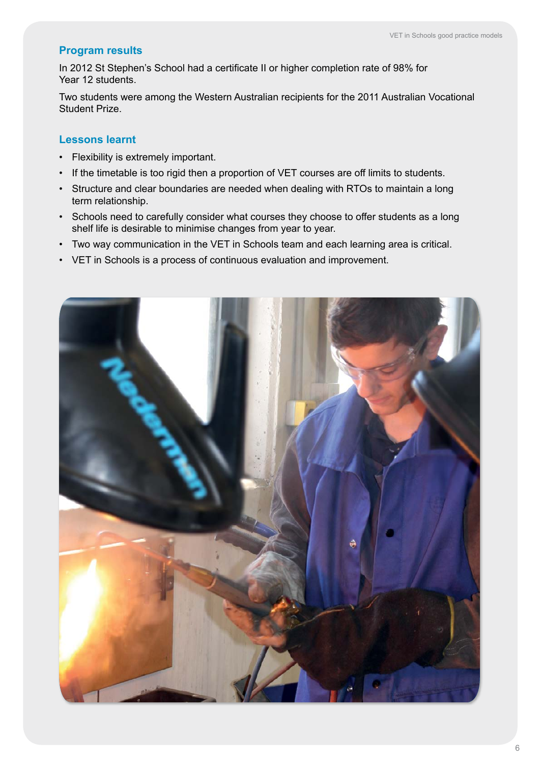## **Program results**

In 2012 St Stephen's School had a certificate II or higher completion rate of 98% for Year 12 students.

Two students were among the Western Australian recipients for the 2011 Australian Vocational Student Prize.

## **Lessons learnt**

- Flexibility is extremely important.
- If the timetable is too rigid then a proportion of VET courses are off limits to students.
- Structure and clear boundaries are needed when dealing with RTOs to maintain a long term relationship.
- Schools need to carefully consider what courses they choose to offer students as a long shelf life is desirable to minimise changes from year to year.
- Two way communication in the VET in Schools team and each learning area is critical.
- VET in Schools is a process of continuous evaluation and improvement.